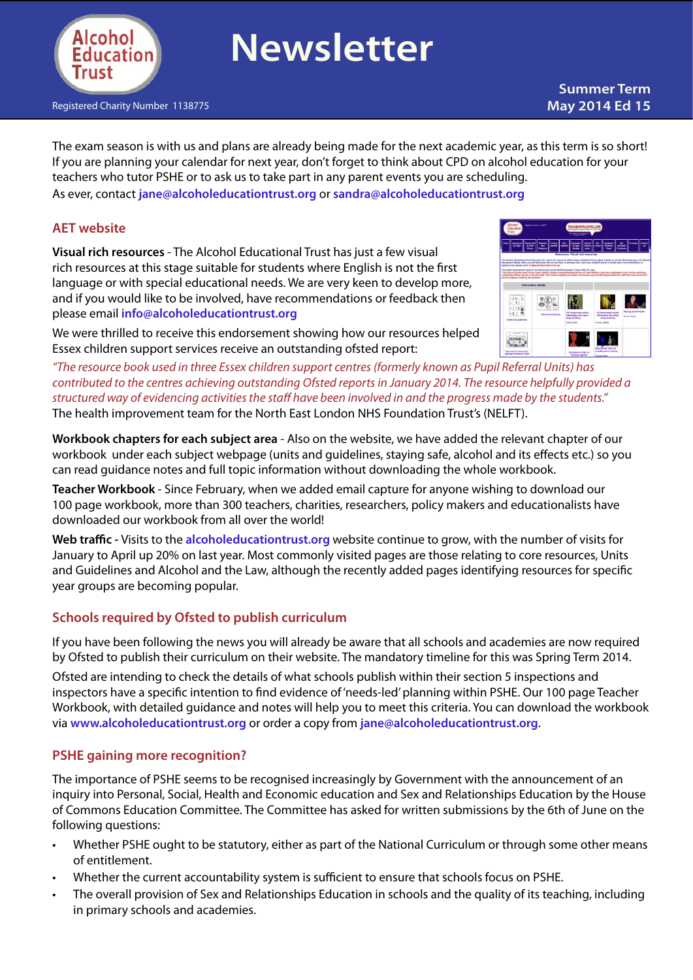

# **Newsletter**

Registered Charity Number 1138775

# **Summer Term May 2014 Ed 15**

The exam season is with us and plans are already being made for the next academic year, as this term is so short! If you are planning your calendar for next year, don't forget to think about CPD on alcohol education for your teachers who tutor PSHE or to ask us to take part in any parent events you are scheduling. As ever, contact **[jane@alcoholeducationtrust.org](mailto:jane@alcoholeducationtrust.org)** or **[sandra@alcoholeducationtrust.org](mailto:sandra@alcoholeducationtrust.org)**

#### **AET website**

**Visual rich resources** - The Alcohol Educational Trust has just a few visual rich resources at this stage suitable for students where English is not the first language or with special educational needs. We are very keen to develop more, and if you would like to be involved, have recommendations or feedback then please email **[info@alcoholeducationtrust.org](mailto:info@alcoholeducationtrust.org)** 

We were thrilled to receive this endorsement showing how our resources helped Essex children support services receive an outstanding ofsted report:



*"The resource book used in three Essex children support centres (formerly known as Pupil Referral Units) has contributed to the centres achieving outstanding Ofsted reports in January 2014. The resource helpfully provided a structured way of evidencing activities the staff have been involved in and the progress made by the students."*  The health improvement team for the North East London NHS Foundation Trust's (NELFT).

**Workbook chapters for each subject area** - Also on the website, we have added the relevant chapter of our workbook under each subject webpage (units and guidelines, staying safe, alcohol and its effects etc.) so you can read guidance notes and full topic information without downloading the whole workbook.

**Teacher Workbook** - Since February, when we added email capture for anyone wishing to download our 100 page workbook, more than 300 teachers, charities, researchers, policy makers and educationalists have downloaded our workbook from all over the world!

**Web traffic -** Visits to the **[alcoholeducationtrust.org](http://www.alcoholeducationtrust.org)** website continue to grow, with the number of visits for January to April up 20% on last year. Most commonly visited pages are those relating to core resources, Units and Guidelines and Alcohol and the Law, although the recently added pages identifying resources for specific year groups are becoming popular.

# **Schools required by Ofsted to publish curriculum**

If you have been following the news you will already be aware that all schools and academies are now required by Ofsted to publish their curriculum on their website. The mandatory timeline for this was Spring Term 2014.

Ofsted are intending to check the details of what schools publish within their section 5 inspections and inspectors have a specific intention to find evidence of'needs-led'planning within PSHE. Our 100 page Teacher Workbook, with detailed guidance and notes will help you to meet this criteria. You can download the workbook via **[www.alcoholeducationtrust.org](http://www.alcoholeducationtrust.org)** or order a copy from **[jane@alcoholeducationtrust.org](mailto:jane@alcoholeducationtrust.org)**.

#### **PSHE gaining more recognition?**

The importance of PSHE seems to be recognised increasingly by Government with the announcement of an inquiry into Personal, Social, Health and Economic education and Sex and Relationships Education by the House of Commons Education Committee. The Committee has asked for written submissions by the 6th of June on the following questions:

- Whether PSHE ought to be statutory, either as part of the National Curriculum or through some other means of entitlement. •
- Whether the current accountability system is sufficient to ensure that schools focus on PSHE. •
- The overall provision of Sex and Relationships Education in schools and the quality of its teaching, including in primary schools and academies. •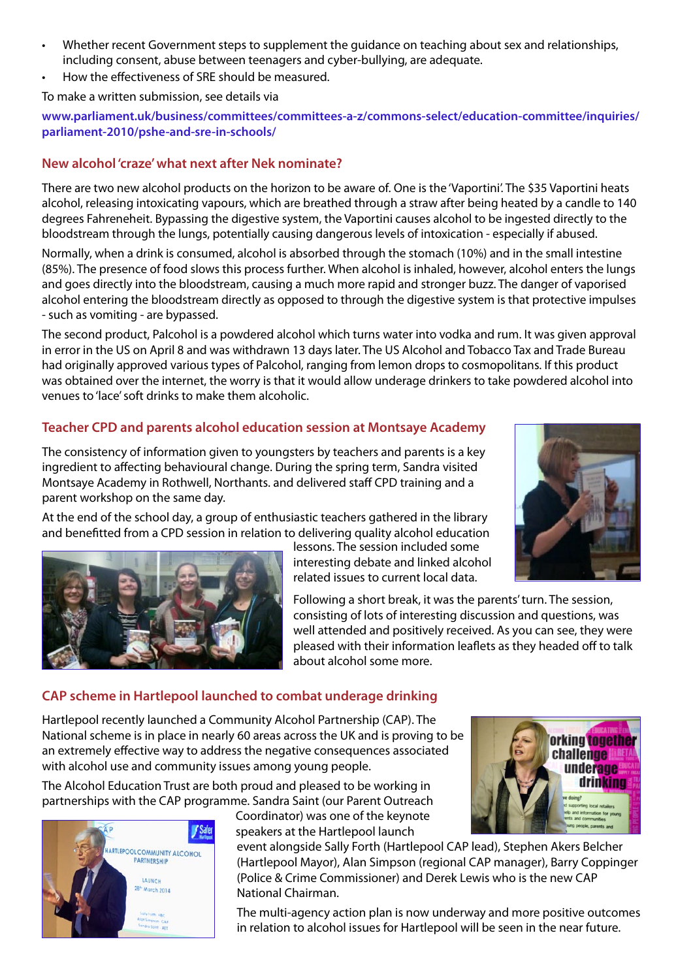- Whether recent Government steps to supplement the guidance on teaching about sex and relationships, including consent, abuse between teenagers and cyber-bullying, are adequate. •
- How the effectiveness of SRE should be measured. •

#### To make a written submission, see details via

**[www.parliament.uk/business/committees/committees-a-z/commons-select/education-committee/inquiries/](http://www.parliament.uk/business/committees/committees-a-z/commons-select/education-committee/inquiries/parliament-2010/pshe-and-sre-in-schools/) [parliament-2010/pshe-and-sre-in-schools/](http://www.parliament.uk/business/committees/committees-a-z/commons-select/education-committee/inquiries/parliament-2010/pshe-and-sre-in-schools/)**

#### **New alcohol 'craze' what next after Nek nominate?**

There are two new alcohol products on the horizon to be aware of. One is the 'Vaportini'. The \$35 Vaportini heats alcohol, releasing intoxicating vapours, which are breathed through a straw after being heated by a candle to 140 degrees Fahreneheit. Bypassing the digestive system, the Vaportini causes alcohol to be ingested directly to the bloodstream through the lungs, potentially causing dangerous levels of intoxication - especially if abused.

Normally, when a drink is consumed, alcohol is absorbed through the stomach (10%) and in the small intestine (85%). The presence of food slows this process further. When alcohol is inhaled, however, alcohol enters the lungs and goes directly into the bloodstream, causing a much more rapid and stronger buzz. The danger of vaporised alcohol entering the bloodstream directly as opposed to through the digestive system is that protective impulses - such as vomiting - are bypassed.

The second product, Palcohol is a powdered alcohol which turns water into vodka and rum. It was given approval in error in the US on April 8 and was withdrawn 13 days later. The US Alcohol and Tobacco Tax and Trade Bureau had originally approved various types of Palcohol, ranging from lemon drops to cosmopolitans. If this product was obtained over the internet, the worry is that it would allow underage drinkers to take powdered alcohol into venues to'lace'soft drinks to make them alcoholic.

# **Teacher CPD and parents alcohol education session at Montsaye Academy**

The consistency of information given to youngsters by teachers and parents is a key ingredient to affecting behavioural change. During the spring term, Sandra visited Montsaye Academy in Rothwell, Northants. and delivered staff CPD training and a parent workshop on the same day.

At the end of the school day, a group of enthusiastic teachers gathered in the library and benefitted from a CPD session in relation to delivering quality alcohol education

lessons. The session included some interesting debate and linked alcohol related issues to current local data.

Following a short break, it was the parents'turn. The session, consisting of lots of interesting discussion and questions, was well attended and positively received. As you can see, they were pleased with their information leaflets as they headed off to talk about alcohol some more.

# **CAP scheme in Hartlepool launched to combat underage drinking**

Hartlepool recently launched a Community Alcohol Partnership (CAP). The National scheme is in place in nearly 60 areas across the UK and is proving to be an extremely effective way to address the negative consequences associated with alcohol use and community issues among young people.

The Alcohol Education Trust are both proud and pleased to be working in partnerships with the CAP programme. Sandra Saint (our Parent Outreach



Coordinator) was one of the keynote speakers at the Hartlepool launch

event alongside Sally Forth (Hartlepool CAP lead), Stephen Akers Belcher (Hartlepool Mayor), Alan Simpson (regional CAP manager), Barry Coppinger (Police & Crime Commissioner) and Derek Lewis who is the new CAP National Chairman.

The multi-agency action plan is now underway and more positive outcomes in relation to alcohol issues for Hartlepool will be seen in the near future.



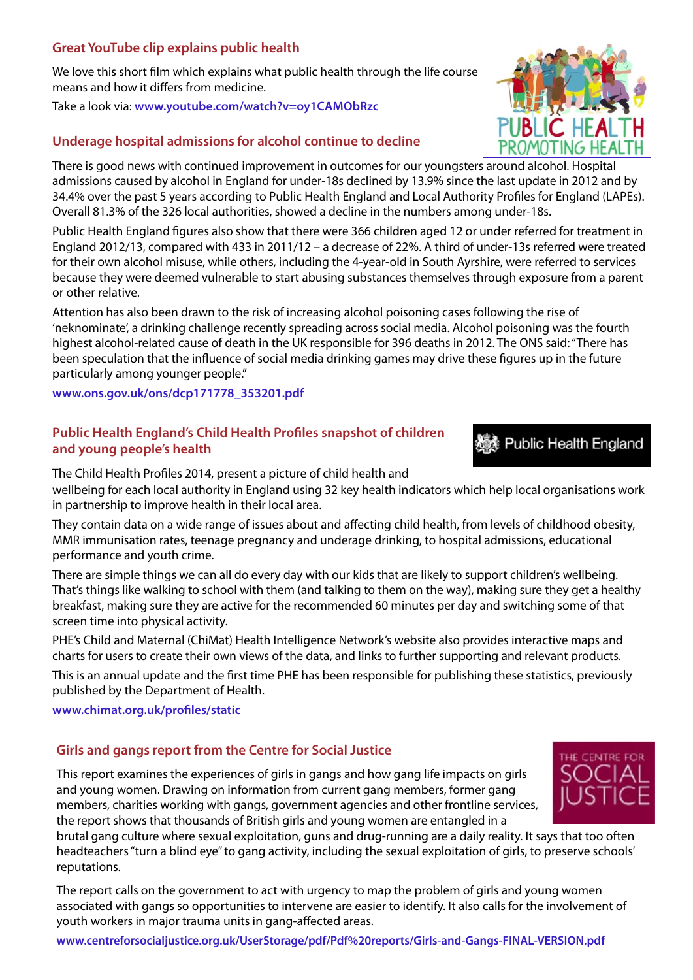#### **Great YouTube clip explains public health**

We love this short film which explains what public health through the life course means and how it differs from medicine.

Take a look via: **[www.youtube.com/watch?v=oy1CAMObRzc](http://www.youtube.com/watch?v=oy1CAMObRzc )**

#### **Underage hospital admissions for alcohol continue to decline**

There is good news with continued improvement in outcomes for our youngsters around alcohol. Hospital admissions caused by alcohol in England for under-18s declined by 13.9% since the last update in 2012 and by 34.4% over the past 5 years according to Public Health England and Local Authority Profiles for England (LAPEs). Overall 81.3% of the 326 local authorities, showed a decline in the numbers among under-18s.

Public Health England figures also show that there were 366 children aged 12 or under referred for treatment in England 2012/13, compared with 433 in 2011/12 – a decrease of 22%. A third of under-13s referred were treated for their own alcohol misuse, while others, including the 4-year-old in South Ayrshire, were referred to services because they were deemed vulnerable to start abusing substances themselves through exposure from a parent or other relative.

Attention has also been drawn to the risk of increasing alcohol poisoning cases following the rise of 'neknominate', a drinking challenge recently spreading across social media. Alcohol poisoning was the fourth highest alcohol-related cause of death in the UK responsible for 396 deaths in 2012. The ONS said:"There has been speculation that the influence of social media drinking games may drive these figures up in the future particularly among younger people."

**[www.ons.gov.uk/ons/dcp171778\\_353201.pdf](http://www.ons.gov.uk/ons/dcp171778_353201.pdf)**

# **Public Health England's Child Health Profiles snapshot of children and young people's health**

The Child Health Profiles 2014, present a picture of child health and

wellbeing for each local authority in England using 32 key health indicators which help local organisations work in partnership to improve health in their local area.

They contain data on a wide range of issues about and affecting child health, from levels of childhood obesity, MMR immunisation rates, teenage pregnancy and underage drinking, to hospital admissions, educational performance and youth crime.

There are simple things we can all do every day with our kids that are likely to support children's wellbeing. That's things like walking to school with them (and talking to them on the way), making sure they get a healthy breakfast, making sure they are active for the recommended 60 minutes per day and switching some of that screen time into physical activity.

PHE's Child and Maternal (ChiMat) Health Intelligence Network's website also provides interactive maps and charts for users to create their own views of the data, and links to further supporting and relevant products.

This is an annual update and the first time PHE has been responsible for publishing these statistics, previously published by the Department of Health.

**[www.chimat.org.uk/profiles/static](http://www.chimat.org.uk/profiles/static)**

# **Girls and gangs report from the Centre for Social Justice**

This report examines the experiences of girls in gangs and how gang life impacts on girls and young women. Drawing on information from current gang members, former gang members, charities working with gangs, government agencies and other frontline services, the report shows that thousands of British girls and young women are entangled in a

brutal gang culture where sexual exploitation, guns and drug-running are a daily reality. It says that too often headteachers"turn a blind eye"to gang activity, including the sexual exploitation of girls, to preserve schools' reputations.

The report calls on the government to act with urgency to map the problem of girls and young women associated with gangs so opportunities to intervene are easier to identify. It also calls for the involvement of youth workers in major trauma units in gang-affected areas.

**[www.centreforsocialjustice.org.uk/UserStorage/pdf/Pdf%20reports/Girls-and-Gangs-FINAL-VERSION.pdf](http://www.centreforsocialjustice.org.uk/UserStorage/pdf/Pdf%20reports/Girls-and-Gangs-FINAL-VERSION.pdf )**